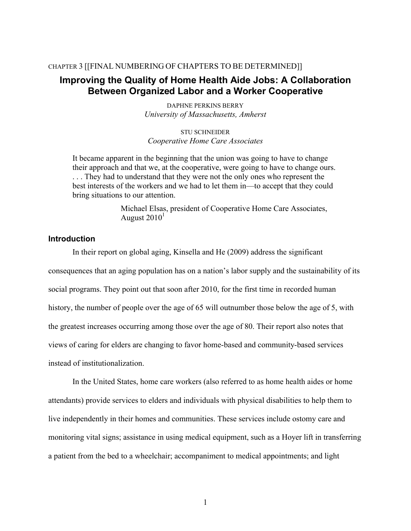### CHAPTER 3 [[FINAL NUMBERING OF CHAPTERS TO BE DETERMINED]]

# **Improving the Quality of Home Health Aide Jobs: A Collaboration Between Organized Labor and a Worker Cooperative**

DAPHNE PERKINS BERRY *University of Massachusetts, Amherst*

STU SCHNEIDER *Cooperative Home Care Associates*

It became apparent in the beginning that the union was going to have to change their approach and that we, at the cooperative, were going to have to change ours. . . . They had to understand that they were not the only ones who represent the best interests of the workers and we had to let them in—to accept that they could bring situations to our attention.

> Michael Elsas, president of Cooperative Home Care Associates, August  $2010<sup>1</sup>$

### **Introduction**

In their report on global aging, Kinsella and He (2009) address the significant consequences that an aging population has on a nation's labor supply and the sustainability of its social programs. They point out that soon after 2010, for the first time in recorded human history, the number of people over the age of 65 will outnumber those below the age of 5, with the greatest increases occurring among those over the age of 80. Their report also notes that views of caring for elders are changing to favor home-based and community-based services instead of institutionalization.

In the United States, home care workers (also referred to as home health aides or home attendants) provide services to elders and individuals with physical disabilities to help them to live independently in their homes and communities. These services include ostomy care and monitoring vital signs; assistance in using medical equipment, such as a Hoyer lift in transferring a patient from the bed to a wheelchair; accompaniment to medical appointments; and light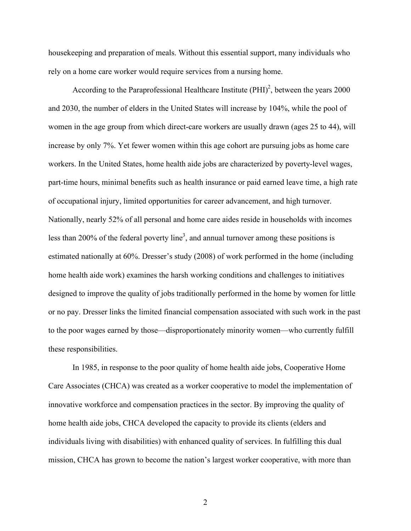housekeeping and preparation of meals. Without this essential support, many individuals who rely on a home care worker would require services from a nursing home.

According to the Paraprofessional Healthcare Institute  $(PHI)^2$ , between the years 2000 and 2030, the number of elders in the United States will increase by 104%, while the pool of women in the age group from which direct-care workers are usually drawn (ages 25 to 44), will increase by only 7%. Yet fewer women within this age cohort are pursuing jobs as home care workers. In the United States, home health aide jobs are characterized by poverty-level wages, part-time hours, minimal benefits such as health insurance or paid earned leave time, a high rate of occupational injury, limited opportunities for career advancement, and high turnover. Nationally, nearly 52% of all personal and home care aides reside in households with incomes less than 200% of the federal poverty line<sup>3</sup>, and annual turnover among these positions is estimated nationally at 60%. Dresser's study (2008) of work performed in the home (including home health aide work) examines the harsh working conditions and challenges to initiatives designed to improve the quality of jobs traditionally performed in the home by women for little or no pay. Dresser links the limited financial compensation associated with such work in the past to the poor wages earned by those—disproportionately minority women—who currently fulfill these responsibilities.

In 1985, in response to the poor quality of home health aide jobs, Cooperative Home Care Associates (CHCA) was created as a worker cooperative to model the implementation of innovative workforce and compensation practices in the sector. By improving the quality of home health aide jobs, CHCA developed the capacity to provide its clients (elders and individuals living with disabilities) with enhanced quality of services. In fulfilling this dual mission, CHCA has grown to become the nation's largest worker cooperative, with more than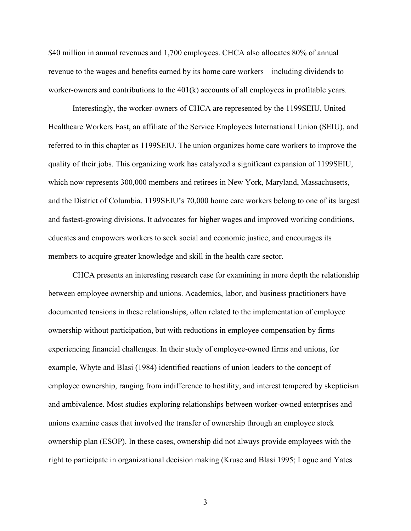\$40 million in annual revenues and 1,700 employees. CHCA also allocates 80% of annual revenue to the wages and benefits earned by its home care workers—including dividends to worker-owners and contributions to the 401(k) accounts of all employees in profitable years.

Interestingly, the worker-owners of CHCA are represented by the 1199SEIU, United Healthcare Workers East, an affiliate of the Service Employees International Union (SEIU), and referred to in this chapter as 1199SEIU. The union organizes home care workers to improve the quality of their jobs. This organizing work has catalyzed a significant expansion of 1199SEIU, which now represents 300,000 members and retirees in New York, Maryland, Massachusetts, and the District of Columbia. 1199SEIU's 70,000 home care workers belong to one of its largest and fastest-growing divisions. It advocates for higher wages and improved working conditions, educates and empowers workers to seek social and economic justice, and encourages its members to acquire greater knowledge and skill in the health care sector.

CHCA presents an interesting research case for examining in more depth the relationship between employee ownership and unions. Academics, labor, and business practitioners have documented tensions in these relationships, often related to the implementation of employee ownership without participation, but with reductions in employee compensation by firms experiencing financial challenges. In their study of employee-owned firms and unions, for example, Whyte and Blasi (1984) identified reactions of union leaders to the concept of employee ownership, ranging from indifference to hostility, and interest tempered by skepticism and ambivalence. Most studies exploring relationships between worker-owned enterprises and unions examine cases that involved the transfer of ownership through an employee stock ownership plan (ESOP). In these cases, ownership did not always provide employees with the right to participate in organizational decision making (Kruse and Blasi 1995; Logue and Yates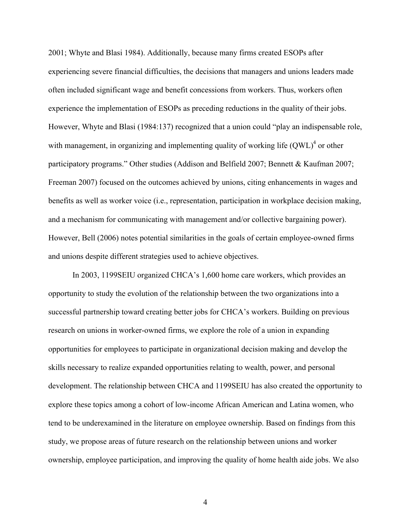2001; Whyte and Blasi 1984). Additionally, because many firms created ESOPs after experiencing severe financial difficulties, the decisions that managers and unions leaders made often included significant wage and benefit concessions from workers. Thus, workers often experience the implementation of ESOPs as preceding reductions in the quality of their jobs. However, Whyte and Blasi (1984:137) recognized that a union could "play an indispensable role, with management, in organizing and implementing quality of working life  $(QWL)^4$  or other participatory programs." Other studies (Addison and Belfield 2007; Bennett & Kaufman 2007; Freeman 2007) focused on the outcomes achieved by unions, citing enhancements in wages and benefits as well as worker voice (i.e., representation, participation in workplace decision making, and a mechanism for communicating with management and/or collective bargaining power). However, Bell (2006) notes potential similarities in the goals of certain employee-owned firms and unions despite different strategies used to achieve objectives.

In 2003, 1199SEIU organized CHCA's 1,600 home care workers, which provides an opportunity to study the evolution of the relationship between the two organizations into a successful partnership toward creating better jobs for CHCA's workers. Building on previous research on unions in worker-owned firms, we explore the role of a union in expanding opportunities for employees to participate in organizational decision making and develop the skills necessary to realize expanded opportunities relating to wealth, power, and personal development. The relationship between CHCA and 1199SEIU has also created the opportunity to explore these topics among a cohort of low-income African American and Latina women, who tend to be underexamined in the literature on employee ownership. Based on findings from this study, we propose areas of future research on the relationship between unions and worker ownership, employee participation, and improving the quality of home health aide jobs. We also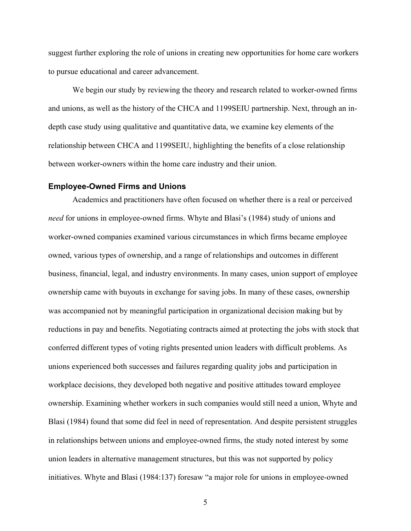suggest further exploring the role of unions in creating new opportunities for home care workers to pursue educational and career advancement.

We begin our study by reviewing the theory and research related to worker-owned firms and unions, as well as the history of the CHCA and 1199SEIU partnership. Next, through an indepth case study using qualitative and quantitative data, we examine key elements of the relationship between CHCA and 1199SEIU, highlighting the benefits of a close relationship between worker-owners within the home care industry and their union.

# **Employee-Owned Firms and Unions**

Academics and practitioners have often focused on whether there is a real or perceived *need* for unions in employee-owned firms. Whyte and Blasi's (1984) study of unions and worker-owned companies examined various circumstances in which firms became employee owned, various types of ownership, and a range of relationships and outcomes in different business, financial, legal, and industry environments. In many cases, union support of employee ownership came with buyouts in exchange for saving jobs. In many of these cases, ownership was accompanied not by meaningful participation in organizational decision making but by reductions in pay and benefits. Negotiating contracts aimed at protecting the jobs with stock that conferred different types of voting rights presented union leaders with difficult problems. As unions experienced both successes and failures regarding quality jobs and participation in workplace decisions, they developed both negative and positive attitudes toward employee ownership. Examining whether workers in such companies would still need a union, Whyte and Blasi (1984) found that some did feel in need of representation. And despite persistent struggles in relationships between unions and employee-owned firms, the study noted interest by some union leaders in alternative management structures, but this was not supported by policy initiatives. Whyte and Blasi (1984:137) foresaw "a major role for unions in employee-owned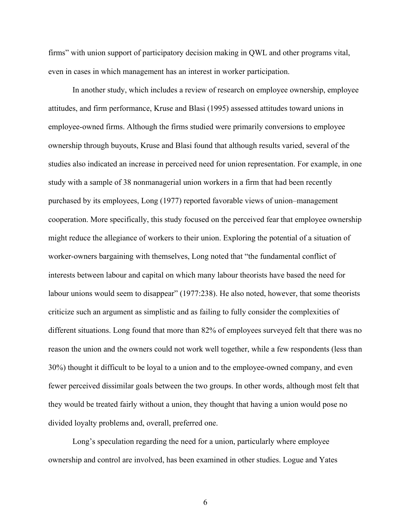firms" with union support of participatory decision making in QWL and other programs vital, even in cases in which management has an interest in worker participation.

In another study, which includes a review of research on employee ownership, employee attitudes, and firm performance, Kruse and Blasi (1995) assessed attitudes toward unions in employee-owned firms. Although the firms studied were primarily conversions to employee ownership through buyouts, Kruse and Blasi found that although results varied, several of the studies also indicated an increase in perceived need for union representation. For example, in one study with a sample of 38 nonmanagerial union workers in a firm that had been recently purchased by its employees, Long (1977) reported favorable views of union–management cooperation. More specifically, this study focused on the perceived fear that employee ownership might reduce the allegiance of workers to their union. Exploring the potential of a situation of worker-owners bargaining with themselves, Long noted that "the fundamental conflict of interests between labour and capital on which many labour theorists have based the need for labour unions would seem to disappear" (1977:238). He also noted, however, that some theorists criticize such an argument as simplistic and as failing to fully consider the complexities of different situations. Long found that more than 82% of employees surveyed felt that there was no reason the union and the owners could not work well together, while a few respondents (less than 30%) thought it difficult to be loyal to a union and to the employee-owned company, and even fewer perceived dissimilar goals between the two groups. In other words, although most felt that they would be treated fairly without a union, they thought that having a union would pose no divided loyalty problems and, overall, preferred one.

Long's speculation regarding the need for a union, particularly where employee ownership and control are involved, has been examined in other studies. Logue and Yates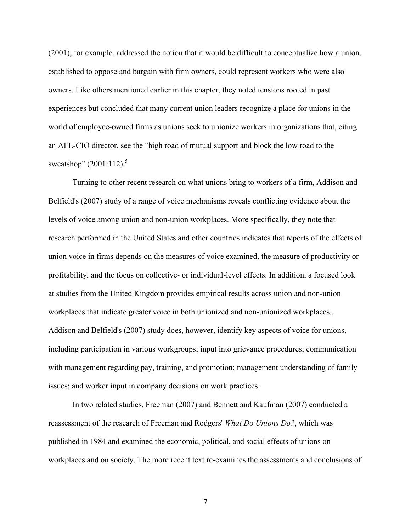(2001), for example, addressed the notion that it would be difficult to conceptualize how a union, established to oppose and bargain with firm owners, could represent workers who were also owners. Like others mentioned earlier in this chapter, they noted tensions rooted in past experiences but concluded that many current union leaders recognize a place for unions in the world of employee-owned firms as unions seek to unionize workers in organizations that, citing an AFL-CIO director, see the "high road of mutual support and block the low road to the sweatshop"  $(2001:112)^5$ 

Turning to other recent research on what unions bring to workers of a firm, Addison and Belfield's (2007) study of a range of voice mechanisms reveals conflicting evidence about the levels of voice among union and non-union workplaces. More specifically, they note that research performed in the United States and other countries indicates that reports of the effects of union voice in firms depends on the measures of voice examined, the measure of productivity or profitability, and the focus on collective- or individual-level effects. In addition, a focused look at studies from the United Kingdom provides empirical results across union and non-union workplaces that indicate greater voice in both unionized and non-unionized workplaces.. Addison and Belfield's (2007) study does, however, identify key aspects of voice for unions, including participation in various workgroups; input into grievance procedures; communication with management regarding pay, training, and promotion; management understanding of family issues; and worker input in company decisions on work practices.

In two related studies, Freeman (2007) and Bennett and Kaufman (2007) conducted a reassessment of the research of Freeman and Rodgers' *What Do Unions Do?*, which was published in 1984 and examined the economic, political, and social effects of unions on workplaces and on society. The more recent text re-examines the assessments and conclusions of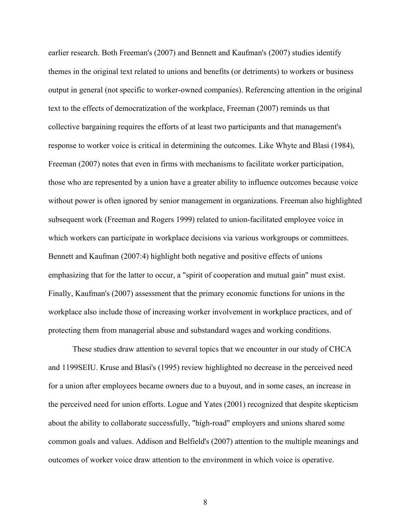earlier research. Both Freeman's (2007) and Bennett and Kaufman's (2007) studies identify themes in the original text related to unions and benefits (or detriments) to workers or business output in general (not specific to worker-owned companies). Referencing attention in the original text to the effects of democratization of the workplace, Freeman (2007) reminds us that collective bargaining requires the efforts of at least two participants and that management's response to worker voice is critical in determining the outcomes. Like Whyte and Blasi (1984), Freeman (2007) notes that even in firms with mechanisms to facilitate worker participation, those who are represented by a union have a greater ability to influence outcomes because voice without power is often ignored by senior management in organizations. Freeman also highlighted subsequent work (Freeman and Rogers 1999) related to union-facilitated employee voice in which workers can participate in workplace decisions via various workgroups or committees. Bennett and Kaufman (2007:4) highlight both negative and positive effects of unions emphasizing that for the latter to occur, a "spirit of cooperation and mutual gain" must exist. Finally, Kaufman's (2007) assessment that the primary economic functions for unions in the workplace also include those of increasing worker involvement in workplace practices, and of protecting them from managerial abuse and substandard wages and working conditions.

These studies draw attention to several topics that we encounter in our study of CHCA and 1199SEIU. Kruse and Blasi's (1995) review highlighted no decrease in the perceived need for a union after employees became owners due to a buyout, and in some cases, an increase in the perceived need for union efforts. Logue and Yates (2001) recognized that despite skepticism about the ability to collaborate successfully, "high-road" employers and unions shared some common goals and values. Addison and Belfield's (2007) attention to the multiple meanings and outcomes of worker voice draw attention to the environment in which voice is operative.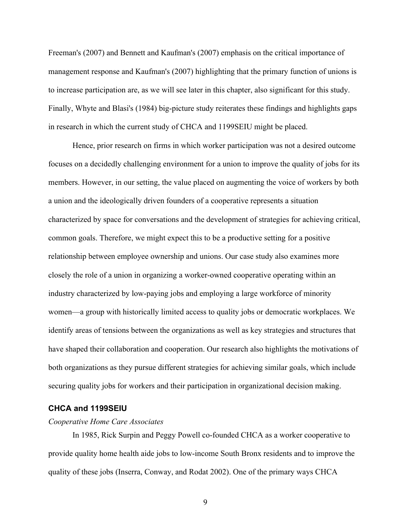Freeman's (2007) and Bennett and Kaufman's (2007) emphasis on the critical importance of management response and Kaufman's (2007) highlighting that the primary function of unions is to increase participation are, as we will see later in this chapter, also significant for this study. Finally, Whyte and Blasi's (1984) big-picture study reiterates these findings and highlights gaps in research in which the current study of CHCA and 1199SEIU might be placed.

Hence, prior research on firms in which worker participation was not a desired outcome focuses on a decidedly challenging environment for a union to improve the quality of jobs for its members. However, in our setting, the value placed on augmenting the voice of workers by both a union and the ideologically driven founders of a cooperative represents a situation characterized by space for conversations and the development of strategies for achieving critical, common goals. Therefore, we might expect this to be a productive setting for a positive relationship between employee ownership and unions. Our case study also examines more closely the role of a union in organizing a worker-owned cooperative operating within an industry characterized by low-paying jobs and employing a large workforce of minority women—a group with historically limited access to quality jobs or democratic workplaces. We identify areas of tensions between the organizations as well as key strategies and structures that have shaped their collaboration and cooperation. Our research also highlights the motivations of both organizations as they pursue different strategies for achieving similar goals, which include securing quality jobs for workers and their participation in organizational decision making.

# **CHCA and 1199SEIU**

#### *Cooperative Home Care Associates*

In 1985, Rick Surpin and Peggy Powell co-founded CHCA as a worker cooperative to provide quality home health aide jobs to low-income South Bronx residents and to improve the quality of these jobs (Inserra, Conway, and Rodat 2002). One of the primary ways CHCA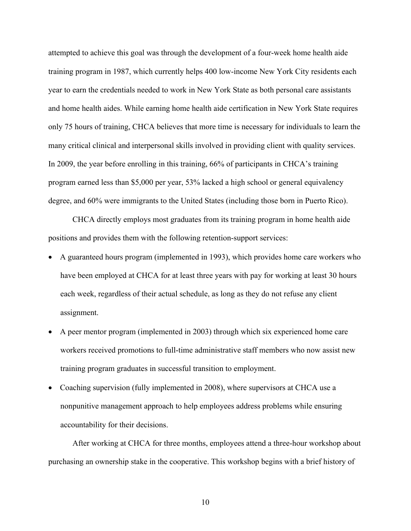attempted to achieve this goal was through the development of a four-week home health aide training program in 1987, which currently helps 400 low-income New York City residents each year to earn the credentials needed to work in New York State as both personal care assistants and home health aides. While earning home health aide certification in New York State requires only 75 hours of training, CHCA believes that more time is necessary for individuals to learn the many critical clinical and interpersonal skills involved in providing client with quality services. In 2009, the year before enrolling in this training, 66% of participants in CHCA's training program earned less than \$5,000 per year, 53% lacked a high school or general equivalency degree, and 60% were immigrants to the United States (including those born in Puerto Rico).

CHCA directly employs most graduates from its training program in home health aide positions and provides them with the following retention-support services:

- A guaranteed hours program (implemented in 1993), which provides home care workers who have been employed at CHCA for at least three years with pay for working at least 30 hours each week, regardless of their actual schedule, as long as they do not refuse any client assignment.
- A peer mentor program (implemented in 2003) through which six experienced home care workers received promotions to full-time administrative staff members who now assist new training program graduates in successful transition to employment.
- Coaching supervision (fully implemented in 2008), where supervisors at CHCA use a nonpunitive management approach to help employees address problems while ensuring accountability for their decisions.

After working at CHCA for three months, employees attend a three-hour workshop about purchasing an ownership stake in the cooperative. This workshop begins with a brief history of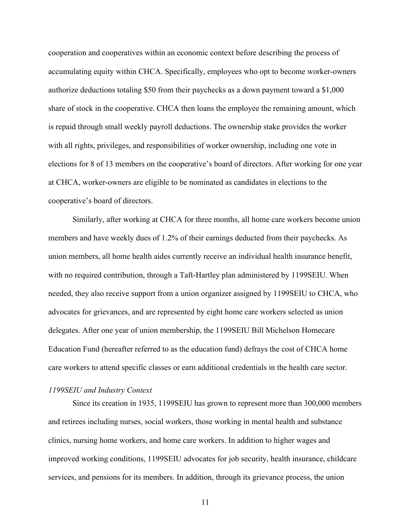cooperation and cooperatives within an economic context before describing the process of accumulating equity within CHCA. Specifically, employees who opt to become worker-owners authorize deductions totaling \$50 from their paychecks as a down payment toward a \$1,000 share of stock in the cooperative. CHCA then loans the employee the remaining amount, which is repaid through small weekly payroll deductions. The ownership stake provides the worker with all rights, privileges, and responsibilities of worker ownership, including one vote in elections for 8 of 13 members on the cooperative's board of directors. After working for one year at CHCA, worker-owners are eligible to be nominated as candidates in elections to the cooperative's board of directors.

Similarly, after working at CHCA for three months, all home care workers become union members and have weekly dues of 1.2% of their earnings deducted from their paychecks. As union members, all home health aides currently receive an individual health insurance benefit, with no required contribution, through a Taft-Hartley plan administered by 1199SEIU. When needed, they also receive support from a union organizer assigned by 1199SEIU to CHCA, who advocates for grievances, and are represented by eight home care workers selected as union delegates. After one year of union membership, the 1199SEIU Bill Michelson Homecare Education Fund (hereafter referred to as the education fund) defrays the cost of CHCA home care workers to attend specific classes or earn additional credentials in the health care sector.

#### *1199SEIU and Industry Context*

Since its creation in 1935, 1199SEIU has grown to represent more than 300,000 members and retirees including nurses, social workers, those working in mental health and substance clinics, nursing home workers, and home care workers. In addition to higher wages and improved working conditions, 1199SEIU advocates for job security, health insurance, childcare services, and pensions for its members. In addition, through its grievance process, the union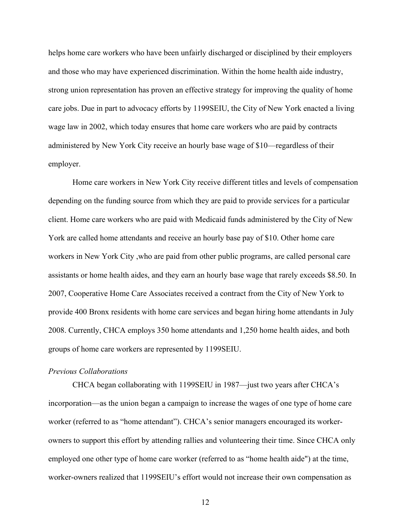helps home care workers who have been unfairly discharged or disciplined by their employers and those who may have experienced discrimination. Within the home health aide industry, strong union representation has proven an effective strategy for improving the quality of home care jobs. Due in part to advocacy efforts by 1199SEIU, the City of New York enacted a living wage law in 2002, which today ensures that home care workers who are paid by contracts administered by New York City receive an hourly base wage of \$10—regardless of their employer.

Home care workers in New York City receive different titles and levels of compensation depending on the funding source from which they are paid to provide services for a particular client. Home care workers who are paid with Medicaid funds administered by the City of New York are called home attendants and receive an hourly base pay of \$10. Other home care workers in New York City ,who are paid from other public programs, are called personal care assistants or home health aides, and they earn an hourly base wage that rarely exceeds \$8.50. In 2007, Cooperative Home Care Associates received a contract from the City of New York to provide 400 Bronx residents with home care services and began hiring home attendants in July 2008. Currently, CHCA employs 350 home attendants and 1,250 home health aides, and both groups of home care workers are represented by 1199SEIU.

## *Previous Collaborations*

CHCA began collaborating with 1199SEIU in 1987—just two years after CHCA's incorporation—as the union began a campaign to increase the wages of one type of home care worker (referred to as "home attendant"). CHCA's senior managers encouraged its workerowners to support this effort by attending rallies and volunteering their time. Since CHCA only employed one other type of home care worker (referred to as "home health aide") at the time, worker-owners realized that 1199SEIU's effort would not increase their own compensation as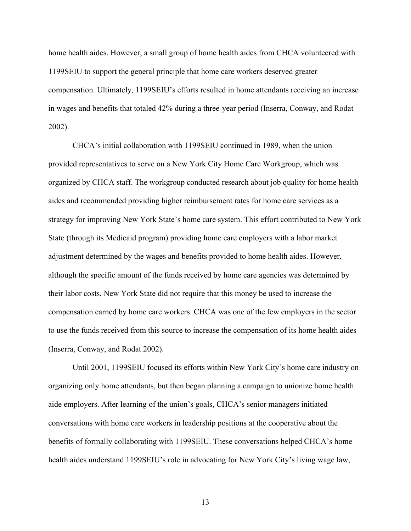home health aides. However, a small group of home health aides from CHCA volunteered with 1199SEIU to support the general principle that home care workers deserved greater compensation. Ultimately, 1199SEIU's efforts resulted in home attendants receiving an increase in wages and benefits that totaled 42% during a three-year period (Inserra, Conway, and Rodat 2002).

CHCA's initial collaboration with 1199SEIU continued in 1989, when the union provided representatives to serve on a New York City Home Care Workgroup, which was organized by CHCA staff. The workgroup conducted research about job quality for home health aides and recommended providing higher reimbursement rates for home care services as a strategy for improving New York State's home care system. This effort contributed to New York State (through its Medicaid program) providing home care employers with a labor market adjustment determined by the wages and benefits provided to home health aides. However, although the specific amount of the funds received by home care agencies was determined by their labor costs, New York State did not require that this money be used to increase the compensation earned by home care workers. CHCA was one of the few employers in the sector to use the funds received from this source to increase the compensation of its home health aides (Inserra, Conway, and Rodat 2002).

Until 2001, 1199SEIU focused its efforts within New York City's home care industry on organizing only home attendants, but then began planning a campaign to unionize home health aide employers. After learning of the union's goals, CHCA's senior managers initiated conversations with home care workers in leadership positions at the cooperative about the benefits of formally collaborating with 1199SEIU. These conversations helped CHCA's home health aides understand 1199SEIU's role in advocating for New York City's living wage law,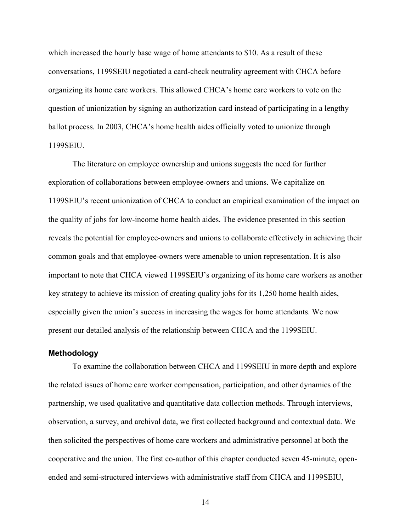which increased the hourly base wage of home attendants to \$10. As a result of these conversations, 1199SEIU negotiated a card-check neutrality agreement with CHCA before organizing its home care workers. This allowed CHCA's home care workers to vote on the question of unionization by signing an authorization card instead of participating in a lengthy ballot process. In 2003, CHCA's home health aides officially voted to unionize through 1199SEIU.

The literature on employee ownership and unions suggests the need for further exploration of collaborations between employee-owners and unions. We capitalize on 1199SEIU's recent unionization of CHCA to conduct an empirical examination of the impact on the quality of jobs for low-income home health aides. The evidence presented in this section reveals the potential for employee-owners and unions to collaborate effectively in achieving their common goals and that employee-owners were amenable to union representation. It is also important to note that CHCA viewed 1199SEIU's organizing of its home care workers as another key strategy to achieve its mission of creating quality jobs for its 1,250 home health aides, especially given the union's success in increasing the wages for home attendants. We now present our detailed analysis of the relationship between CHCA and the 1199SEIU.

#### **Methodology**

To examine the collaboration between CHCA and 1199SEIU in more depth and explore the related issues of home care worker compensation, participation, and other dynamics of the partnership, we used qualitative and quantitative data collection methods. Through interviews, observation, a survey, and archival data, we first collected background and contextual data. We then solicited the perspectives of home care workers and administrative personnel at both the cooperative and the union. The first co-author of this chapter conducted seven 45-minute, openended and semi-structured interviews with administrative staff from CHCA and 1199SEIU,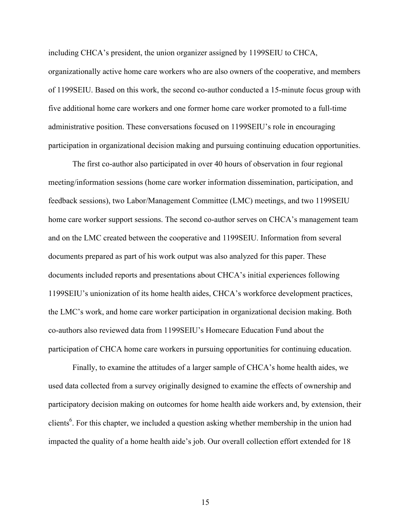including CHCA's president, the union organizer assigned by 1199SEIU to CHCA, organizationally active home care workers who are also owners of the cooperative, and members of 1199SEIU. Based on this work, the second co-author conducted a 15-minute focus group with five additional home care workers and one former home care worker promoted to a full-time administrative position. These conversations focused on 1199SEIU's role in encouraging participation in organizational decision making and pursuing continuing education opportunities.

The first co-author also participated in over 40 hours of observation in four regional meeting/information sessions (home care worker information dissemination, participation, and feedback sessions), two Labor/Management Committee (LMC) meetings, and two 1199SEIU home care worker support sessions. The second co-author serves on CHCA's management team and on the LMC created between the cooperative and 1199SEIU. Information from several documents prepared as part of his work output was also analyzed for this paper. These documents included reports and presentations about CHCA's initial experiences following 1199SEIU's unionization of its home health aides, CHCA's workforce development practices, the LMC's work, and home care worker participation in organizational decision making. Both co-authors also reviewed data from 1199SEIU's Homecare Education Fund about the participation of CHCA home care workers in pursuing opportunities for continuing education.

Finally, to examine the attitudes of a larger sample of CHCA's home health aides, we used data collected from a survey originally designed to examine the effects of ownership and participatory decision making on outcomes for home health aide workers and, by extension, their clients<sup>6</sup>. For this chapter, we included a question asking whether membership in the union had impacted the quality of a home health aide's job. Our overall collection effort extended for 18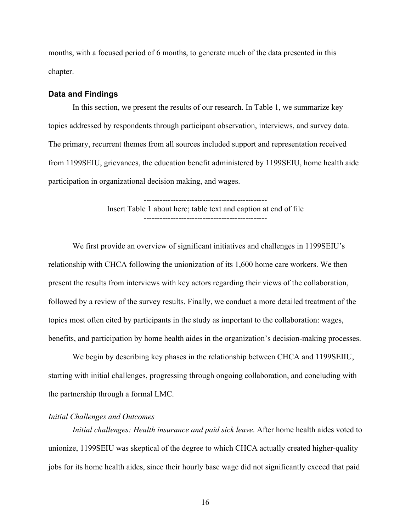months, with a focused period of 6 months, to generate much of the data presented in this chapter.

#### **Data and Findings**

In this section, we present the results of our research. In Table 1, we summarize key topics addressed by respondents through participant observation, interviews, and survey data. The primary, recurrent themes from all sources included support and representation received from 1199SEIU, grievances, the education benefit administered by 1199SEIU, home health aide participation in organizational decision making, and wages.

> ---------------------------------------------- Insert Table 1 about here; table text and caption at end of file ----------------------------------------------

We first provide an overview of significant initiatives and challenges in 1199SEIU's relationship with CHCA following the unionization of its 1,600 home care workers. We then present the results from interviews with key actors regarding their views of the collaboration, followed by a review of the survey results. Finally, we conduct a more detailed treatment of the topics most often cited by participants in the study as important to the collaboration: wages, benefits, and participation by home health aides in the organization's decision-making processes.

We begin by describing key phases in the relationship between CHCA and 1199SEIIU, starting with initial challenges, progressing through ongoing collaboration, and concluding with the partnership through a formal LMC.

# *Initial Challenges and Outcomes*

*Initial challenges: Health insurance and paid sick leave*. After home health aides voted to unionize, 1199SEIU was skeptical of the degree to which CHCA actually created higher-quality jobs for its home health aides, since their hourly base wage did not significantly exceed that paid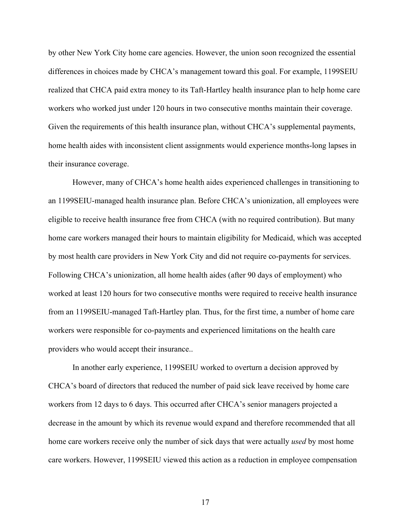by other New York City home care agencies. However, the union soon recognized the essential differences in choices made by CHCA's management toward this goal. For example, 1199SEIU realized that CHCA paid extra money to its Taft-Hartley health insurance plan to help home care workers who worked just under 120 hours in two consecutive months maintain their coverage. Given the requirements of this health insurance plan, without CHCA's supplemental payments, home health aides with inconsistent client assignments would experience months-long lapses in their insurance coverage.

However, many of CHCA's home health aides experienced challenges in transitioning to an 1199SEIU-managed health insurance plan. Before CHCA's unionization, all employees were eligible to receive health insurance free from CHCA (with no required contribution). But many home care workers managed their hours to maintain eligibility for Medicaid, which was accepted by most health care providers in New York City and did not require co-payments for services. Following CHCA's unionization, all home health aides (after 90 days of employment) who worked at least 120 hours for two consecutive months were required to receive health insurance from an 1199SEIU-managed Taft-Hartley plan. Thus, for the first time, a number of home care workers were responsible for co-payments and experienced limitations on the health care providers who would accept their insurance..

In another early experience, 1199SEIU worked to overturn a decision approved by CHCA's board of directors that reduced the number of paid sick leave received by home care workers from 12 days to 6 days. This occurred after CHCA's senior managers projected a decrease in the amount by which its revenue would expand and therefore recommended that all home care workers receive only the number of sick days that were actually *used* by most home care workers. However, 1199SEIU viewed this action as a reduction in employee compensation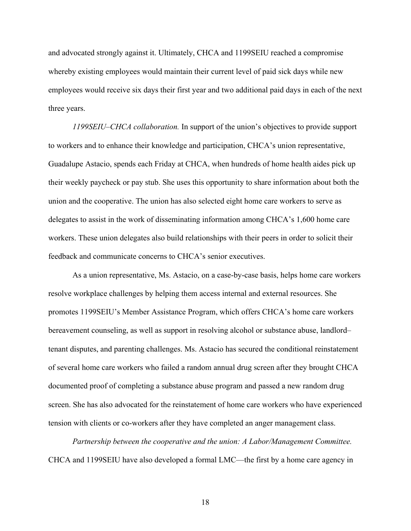and advocated strongly against it. Ultimately, CHCA and 1199SEIU reached a compromise whereby existing employees would maintain their current level of paid sick days while new employees would receive six days their first year and two additional paid days in each of the next three years.

*1199SEIU–CHCA collaboration.* In support of the union's objectives to provide support to workers and to enhance their knowledge and participation, CHCA's union representative, Guadalupe Astacio, spends each Friday at CHCA, when hundreds of home health aides pick up their weekly paycheck or pay stub. She uses this opportunity to share information about both the union and the cooperative. The union has also selected eight home care workers to serve as delegates to assist in the work of disseminating information among CHCA's 1,600 home care workers. These union delegates also build relationships with their peers in order to solicit their feedback and communicate concerns to CHCA's senior executives.

As a union representative, Ms. Astacio, on a case-by-case basis, helps home care workers resolve workplace challenges by helping them access internal and external resources. She promotes 1199SEIU's Member Assistance Program, which offers CHCA's home care workers bereavement counseling, as well as support in resolving alcohol or substance abuse, landlord– tenant disputes, and parenting challenges. Ms. Astacio has secured the conditional reinstatement of several home care workers who failed a random annual drug screen after they brought CHCA documented proof of completing a substance abuse program and passed a new random drug screen. She has also advocated for the reinstatement of home care workers who have experienced tension with clients or co-workers after they have completed an anger management class.

*Partnership between the cooperative and the union: A Labor/Management Committee.* CHCA and 1199SEIU have also developed a formal LMC—the first by a home care agency in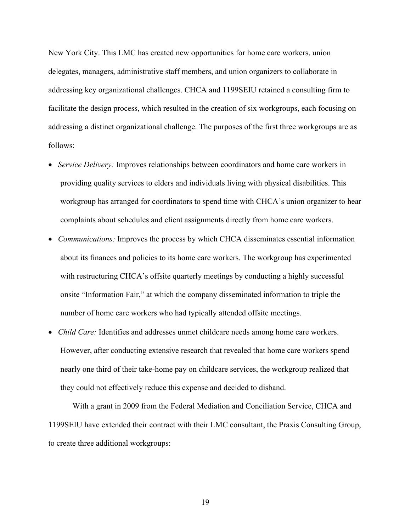New York City. This LMC has created new opportunities for home care workers, union delegates, managers, administrative staff members, and union organizers to collaborate in addressing key organizational challenges. CHCA and 1199SEIU retained a consulting firm to facilitate the design process, which resulted in the creation of six workgroups, each focusing on addressing a distinct organizational challenge. The purposes of the first three workgroups are as follows:

- *Service Delivery:* Improves relationships between coordinators and home care workers in providing quality services to elders and individuals living with physical disabilities. This workgroup has arranged for coordinators to spend time with CHCA's union organizer to hear complaints about schedules and client assignments directly from home care workers.
- *Communications:* Improves the process by which CHCA disseminates essential information about its finances and policies to its home care workers. The workgroup has experimented with restructuring CHCA's offsite quarterly meetings by conducting a highly successful onsite "Information Fair," at which the company disseminated information to triple the number of home care workers who had typically attended offsite meetings.
- *Child Care:* Identifies and addresses unmet childcare needs among home care workers. However, after conducting extensive research that revealed that home care workers spend nearly one third of their take-home pay on childcare services, the workgroup realized that they could not effectively reduce this expense and decided to disband.

With a grant in 2009 from the Federal Mediation and Conciliation Service, CHCA and 1199SEIU have extended their contract with their LMC consultant, the Praxis Consulting Group, to create three additional workgroups: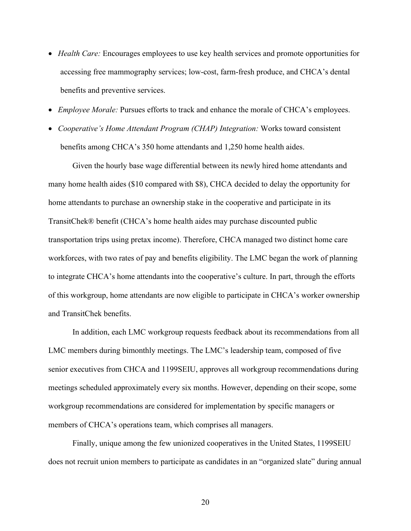- *Health Care:* Encourages employees to use key health services and promote opportunities for accessing free mammography services; low-cost, farm-fresh produce, and CHCA's dental benefits and preventive services.
- *Employee Morale:* Pursues efforts to track and enhance the morale of CHCA's employees.
- *Cooperative's Home Attendant Program (CHAP) Integration:* Works toward consistent benefits among CHCA's 350 home attendants and 1,250 home health aides.

Given the hourly base wage differential between its newly hired home attendants and many home health aides (\$10 compared with \$8), CHCA decided to delay the opportunity for home attendants to purchase an ownership stake in the cooperative and participate in its TransitChek® benefit (CHCA's home health aides may purchase discounted public transportation trips using pretax income). Therefore, CHCA managed two distinct home care workforces, with two rates of pay and benefits eligibility. The LMC began the work of planning to integrate CHCA's home attendants into the cooperative's culture. In part, through the efforts of this workgroup, home attendants are now eligible to participate in CHCA's worker ownership and TransitChek benefits.

In addition, each LMC workgroup requests feedback about its recommendations from all LMC members during bimonthly meetings. The LMC's leadership team, composed of five senior executives from CHCA and 1199SEIU, approves all workgroup recommendations during meetings scheduled approximately every six months. However, depending on their scope, some workgroup recommendations are considered for implementation by specific managers or members of CHCA's operations team, which comprises all managers.

Finally, unique among the few unionized cooperatives in the United States, 1199SEIU does not recruit union members to participate as candidates in an "organized slate" during annual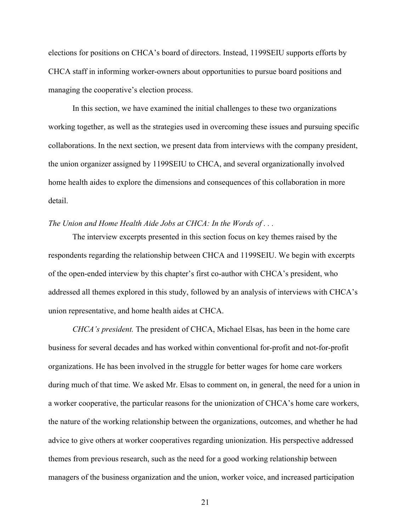elections for positions on CHCA's board of directors. Instead, 1199SEIU supports efforts by CHCA staff in informing worker-owners about opportunities to pursue board positions and managing the cooperative's election process.

In this section, we have examined the initial challenges to these two organizations working together, as well as the strategies used in overcoming these issues and pursuing specific collaborations. In the next section, we present data from interviews with the company president, the union organizer assigned by 1199SEIU to CHCA, and several organizationally involved home health aides to explore the dimensions and consequences of this collaboration in more detail.

### *The Union and Home Health Aide Jobs at CHCA: In the Words of . . .*

The interview excerpts presented in this section focus on key themes raised by the respondents regarding the relationship between CHCA and 1199SEIU. We begin with excerpts of the open-ended interview by this chapter's first co-author with CHCA's president, who addressed all themes explored in this study, followed by an analysis of interviews with CHCA's union representative, and home health aides at CHCA.

*CHCA's president.* The president of CHCA, Michael Elsas, has been in the home care business for several decades and has worked within conventional for-profit and not-for-profit organizations. He has been involved in the struggle for better wages for home care workers during much of that time. We asked Mr. Elsas to comment on, in general, the need for a union in a worker cooperative, the particular reasons for the unionization of CHCA's home care workers, the nature of the working relationship between the organizations, outcomes, and whether he had advice to give others at worker cooperatives regarding unionization. His perspective addressed themes from previous research, such as the need for a good working relationship between managers of the business organization and the union, worker voice, and increased participation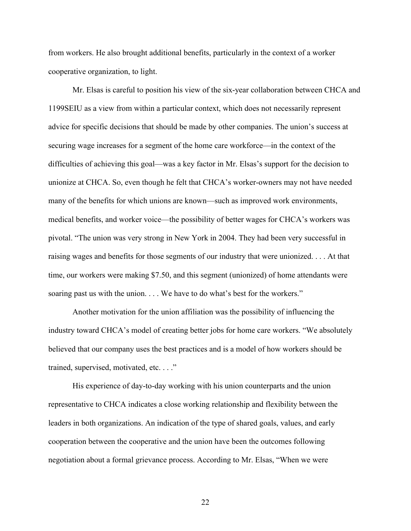from workers. He also brought additional benefits, particularly in the context of a worker cooperative organization, to light.

Mr. Elsas is careful to position his view of the six-year collaboration between CHCA and 1199SEIU as a view from within a particular context, which does not necessarily represent advice for specific decisions that should be made by other companies. The union's success at securing wage increases for a segment of the home care workforce—in the context of the difficulties of achieving this goal—was a key factor in Mr. Elsas's support for the decision to unionize at CHCA. So, even though he felt that CHCA's worker-owners may not have needed many of the benefits for which unions are known—such as improved work environments, medical benefits, and worker voice—the possibility of better wages for CHCA's workers was pivotal. "The union was very strong in New York in 2004. They had been very successful in raising wages and benefits for those segments of our industry that were unionized. . . . At that time, our workers were making \$7.50, and this segment (unionized) of home attendants were soaring past us with the union. . . . We have to do what's best for the workers."

Another motivation for the union affiliation was the possibility of influencing the industry toward CHCA's model of creating better jobs for home care workers. "We absolutely believed that our company uses the best practices and is a model of how workers should be trained, supervised, motivated, etc. . . ."

His experience of day-to-day working with his union counterparts and the union representative to CHCA indicates a close working relationship and flexibility between the leaders in both organizations. An indication of the type of shared goals, values, and early cooperation between the cooperative and the union have been the outcomes following negotiation about a formal grievance process. According to Mr. Elsas, "When we were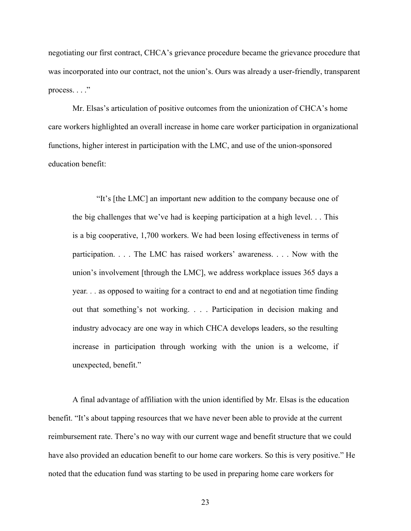negotiating our first contract, CHCA's grievance procedure became the grievance procedure that was incorporated into our contract, not the union's. Ours was already a user-friendly, transparent process. . . ."

Mr. Elsas's articulation of positive outcomes from the unionization of CHCA's home care workers highlighted an overall increase in home care worker participation in organizational functions, higher interest in participation with the LMC, and use of the union-sponsored education benefit:

"It's [the LMC] an important new addition to the company because one of the big challenges that we've had is keeping participation at a high level. . . This is a big cooperative, 1,700 workers. We had been losing effectiveness in terms of participation. . . . The LMC has raised workers' awareness. . . . Now with the union's involvement [through the LMC], we address workplace issues 365 days a year*. . .* as opposed to waiting for a contract to end and at negotiation time finding out that something's not working. . . . Participation in decision making and industry advocacy are one way in which CHCA develops leaders, so the resulting increase in participation through working with the union is a welcome, if unexpected, benefit."

A final advantage of affiliation with the union identified by Mr. Elsas is the education benefit. "It's about tapping resources that we have never been able to provide at the current reimbursement rate. There's no way with our current wage and benefit structure that we could have also provided an education benefit to our home care workers. So this is very positive." He noted that the education fund was starting to be used in preparing home care workers for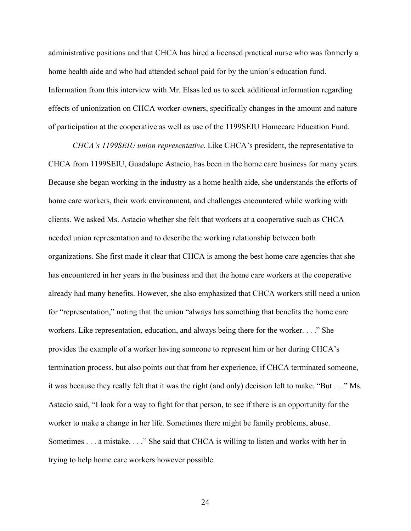administrative positions and that CHCA has hired a licensed practical nurse who was formerly a home health aide and who had attended school paid for by the union's education fund. Information from this interview with Mr. Elsas led us to seek additional information regarding effects of unionization on CHCA worker-owners, specifically changes in the amount and nature of participation at the cooperative as well as use of the 1199SEIU Homecare Education Fund.

*CHCA's 1199SEIU union representative.* Like CHCA's president, the representative to CHCA from 1199SEIU, Guadalupe Astacio, has been in the home care business for many years. Because she began working in the industry as a home health aide, she understands the efforts of home care workers, their work environment, and challenges encountered while working with clients. We asked Ms. Astacio whether she felt that workers at a cooperative such as CHCA needed union representation and to describe the working relationship between both organizations. She first made it clear that CHCA is among the best home care agencies that she has encountered in her years in the business and that the home care workers at the cooperative already had many benefits. However, she also emphasized that CHCA workers still need a union for "representation," noting that the union "always has something that benefits the home care workers. Like representation, education, and always being there for the worker. . . ." She provides the example of a worker having someone to represent him or her during CHCA's termination process, but also points out that from her experience, if CHCA terminated someone, it was because they really felt that it was the right (and only) decision left to make. "But . . ." Ms. Astacio said, "I look for a way to fight for that person, to see if there is an opportunity for the worker to make a change in her life. Sometimes there might be family problems, abuse. Sometimes . . . a mistake. . . ." She said that CHCA is willing to listen and works with her in trying to help home care workers however possible.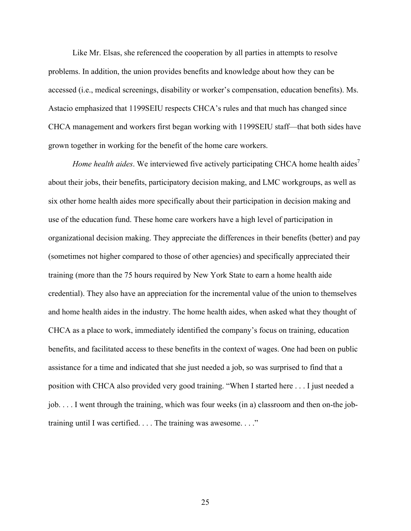Like Mr. Elsas, she referenced the cooperation by all parties in attempts to resolve problems. In addition, the union provides benefits and knowledge about how they can be accessed (i.e., medical screenings, disability or worker's compensation, education benefits). Ms. Astacio emphasized that 1199SEIU respects CHCA's rules and that much has changed since CHCA management and workers first began working with 1199SEIU staff—that both sides have grown together in working for the benefit of the home care workers.

*Home health aides*. We interviewed five actively participating CHCA home health aides<sup>7</sup> about their jobs, their benefits, participatory decision making, and LMC workgroups, as well as six other home health aides more specifically about their participation in decision making and use of the education fund. These home care workers have a high level of participation in organizational decision making. They appreciate the differences in their benefits (better) and pay (sometimes not higher compared to those of other agencies) and specifically appreciated their training (more than the 75 hours required by New York State to earn a home health aide credential). They also have an appreciation for the incremental value of the union to themselves and home health aides in the industry. The home health aides, when asked what they thought of CHCA as a place to work, immediately identified the company's focus on training, education benefits, and facilitated access to these benefits in the context of wages. One had been on public assistance for a time and indicated that she just needed a job, so was surprised to find that a position with CHCA also provided very good training. "When I started here . . . I just needed a job. . . . I went through the training, which was four weeks (in a) classroom and then on-the jobtraining until I was certified. . . . The training was awesome. . . ."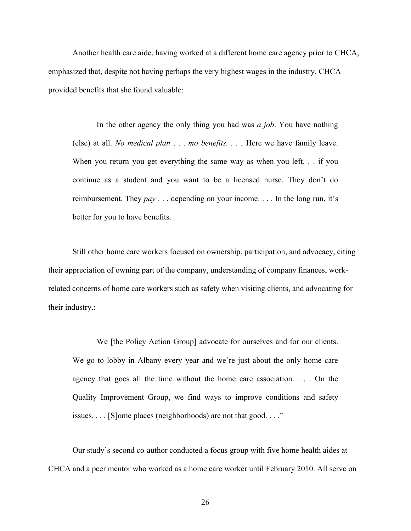Another health care aide, having worked at a different home care agency prior to CHCA, emphasized that, despite not having perhaps the very highest wages in the industry, CHCA provided benefits that she found valuable:

In the other agency the only thing you had was *a job*. You have nothing (else) at all. *No medical plan* . . . *mo benefits. . . .* Here we have family leave. When you return you get everything the same way as when you left. . . if you continue as a student and you want to be a licensed nurse. They don't do reimbursement. They *pay* . . . depending on your income. . . . In the long run, it's better for you to have benefits.

Still other home care workers focused on ownership, participation, and advocacy, citing their appreciation of owning part of the company, understanding of company finances, workrelated concerns of home care workers such as safety when visiting clients, and advocating for their industry.:

We [the Policy Action Group] advocate for ourselves and for our clients. We go to lobby in Albany every year and we're just about the only home care agency that goes all the time without the home care association. . . . On the Quality Improvement Group, we find ways to improve conditions and safety issues. . . . [S]ome places (neighborhoods) are not that good. . . ."

Our study's second co-author conducted a focus group with five home health aides at CHCA and a peer mentor who worked as a home care worker until February 2010. All serve on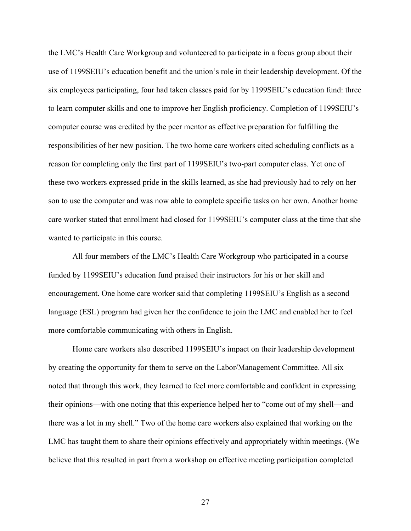the LMC's Health Care Workgroup and volunteered to participate in a focus group about their use of 1199SEIU's education benefit and the union's role in their leadership development. Of the six employees participating, four had taken classes paid for by 1199SEIU's education fund: three to learn computer skills and one to improve her English proficiency. Completion of 1199SEIU's computer course was credited by the peer mentor as effective preparation for fulfilling the responsibilities of her new position. The two home care workers cited scheduling conflicts as a reason for completing only the first part of 1199SEIU's two-part computer class. Yet one of these two workers expressed pride in the skills learned, as she had previously had to rely on her son to use the computer and was now able to complete specific tasks on her own. Another home care worker stated that enrollment had closed for 1199SEIU's computer class at the time that she wanted to participate in this course.

All four members of the LMC's Health Care Workgroup who participated in a course funded by 1199SEIU's education fund praised their instructors for his or her skill and encouragement. One home care worker said that completing 1199SEIU's English as a second language (ESL) program had given her the confidence to join the LMC and enabled her to feel more comfortable communicating with others in English.

Home care workers also described 1199SEIU's impact on their leadership development by creating the opportunity for them to serve on the Labor/Management Committee. All six noted that through this work, they learned to feel more comfortable and confident in expressing their opinions—with one noting that this experience helped her to "come out of my shell—and there was a lot in my shell." Two of the home care workers also explained that working on the LMC has taught them to share their opinions effectively and appropriately within meetings. (We believe that this resulted in part from a workshop on effective meeting participation completed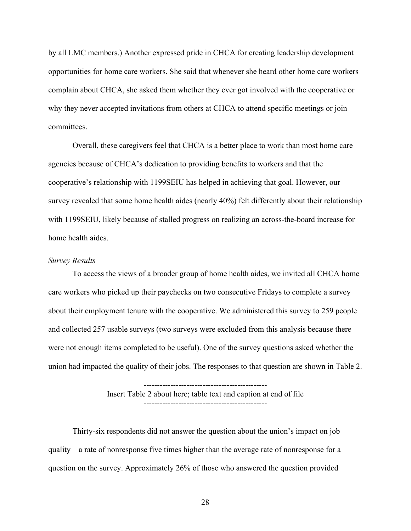by all LMC members.) Another expressed pride in CHCA for creating leadership development opportunities for home care workers. She said that whenever she heard other home care workers complain about CHCA, she asked them whether they ever got involved with the cooperative or why they never accepted invitations from others at CHCA to attend specific meetings or join committees.

Overall, these caregivers feel that CHCA is a better place to work than most home care agencies because of CHCA's dedication to providing benefits to workers and that the cooperative's relationship with 1199SEIU has helped in achieving that goal. However, our survey revealed that some home health aides (nearly 40%) felt differently about their relationship with 1199SEIU, likely because of stalled progress on realizing an across-the-board increase for home health aides.

#### *Survey Results*

To access the views of a broader group of home health aides, we invited all CHCA home care workers who picked up their paychecks on two consecutive Fridays to complete a survey about their employment tenure with the cooperative. We administered this survey to 259 people and collected 257 usable surveys (two surveys were excluded from this analysis because there were not enough items completed to be useful). One of the survey questions asked whether the union had impacted the quality of their jobs. The responses to that question are shown in Table 2.

> Insert Table 2 about here; table text and caption at end of file ----------------------------------------------

----------------------------------------------

Thirty-six respondents did not answer the question about the union's impact on job quality—a rate of nonresponse five times higher than the average rate of nonresponse for a question on the survey. Approximately 26% of those who answered the question provided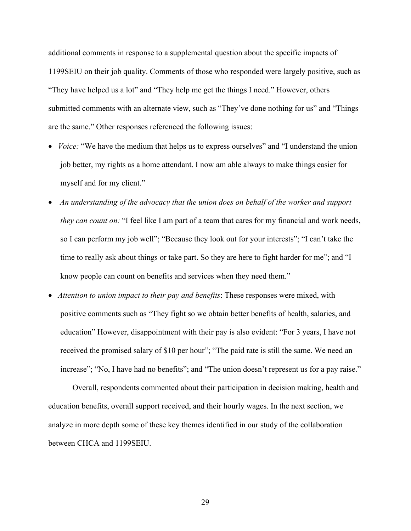additional comments in response to a supplemental question about the specific impacts of 1199SEIU on their job quality. Comments of those who responded were largely positive, such as "They have helped us a lot" and "They help me get the things I need." However, others submitted comments with an alternate view, such as "They've done nothing for us" and "Things" are the same." Other responses referenced the following issues:

- *Voice:* "We have the medium that helps us to express ourselves" and "I understand the union job better, my rights as a home attendant. I now am able always to make things easier for myself and for my client."
- *An understanding of the advocacy that the union does on behalf of the worker and support they can count on:* "I feel like I am part of a team that cares for my financial and work needs, so I can perform my job well"; "Because they look out for your interests"; "I can't take the time to really ask about things or take part. So they are here to fight harder for me"; and "I know people can count on benefits and services when they need them."
- *Attention to union impact to their pay and benefits*: These responses were mixed, with positive comments such as "They fight so we obtain better benefits of health, salaries, and education" However, disappointment with their pay is also evident: "For 3 years, I have not received the promised salary of \$10 per hour"; "The paid rate is still the same. We need an increase"; "No, I have had no benefits"; and "The union doesn't represent us for a pay raise."

Overall, respondents commented about their participation in decision making, health and education benefits, overall support received, and their hourly wages. In the next section, we analyze in more depth some of these key themes identified in our study of the collaboration between CHCA and 1199SEIU.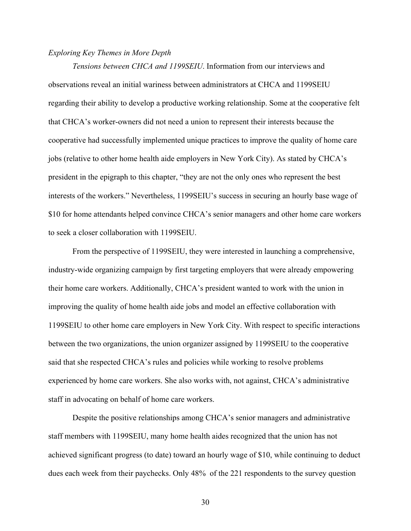# *Exploring Key Themes in More Depth*

*Tensions between CHCA and 1199SEIU*. Information from our interviews and observations reveal an initial wariness between administrators at CHCA and 1199SEIU regarding their ability to develop a productive working relationship. Some at the cooperative felt that CHCA's worker-owners did not need a union to represent their interests because the cooperative had successfully implemented unique practices to improve the quality of home care jobs (relative to other home health aide employers in New York City). As stated by CHCA's president in the epigraph to this chapter, "they are not the only ones who represent the best interests of the workers." Nevertheless, 1199SEIU's success in securing an hourly base wage of \$10 for home attendants helped convince CHCA's senior managers and other home care workers to seek a closer collaboration with 1199SEIU.

From the perspective of 1199SEIU, they were interested in launching a comprehensive, industry-wide organizing campaign by first targeting employers that were already empowering their home care workers. Additionally, CHCA's president wanted to work with the union in improving the quality of home health aide jobs and model an effective collaboration with 1199SEIU to other home care employers in New York City. With respect to specific interactions between the two organizations, the union organizer assigned by 1199SEIU to the cooperative said that she respected CHCA's rules and policies while working to resolve problems experienced by home care workers. She also works with, not against, CHCA's administrative staff in advocating on behalf of home care workers.

Despite the positive relationships among CHCA's senior managers and administrative staff members with 1199SEIU, many home health aides recognized that the union has not achieved significant progress (to date) toward an hourly wage of \$10, while continuing to deduct dues each week from their paychecks. Only 48% of the 221 respondents to the survey question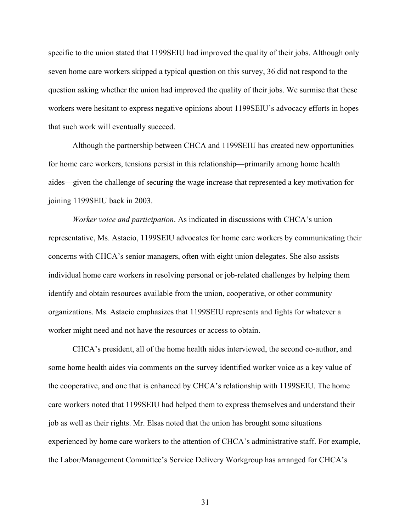specific to the union stated that 1199SEIU had improved the quality of their jobs. Although only seven home care workers skipped a typical question on this survey, 36 did not respond to the question asking whether the union had improved the quality of their jobs. We surmise that these workers were hesitant to express negative opinions about 1199SEIU's advocacy efforts in hopes that such work will eventually succeed.

Although the partnership between CHCA and 1199SEIU has created new opportunities for home care workers, tensions persist in this relationship—primarily among home health aides—given the challenge of securing the wage increase that represented a key motivation for joining 1199SEIU back in 2003.

*Worker voice and participation*. As indicated in discussions with CHCA's union representative, Ms. Astacio, 1199SEIU advocates for home care workers by communicating their concerns with CHCA's senior managers, often with eight union delegates. She also assists individual home care workers in resolving personal or job-related challenges by helping them identify and obtain resources available from the union, cooperative, or other community organizations. Ms. Astacio emphasizes that 1199SEIU represents and fights for whatever a worker might need and not have the resources or access to obtain.

CHCA's president, all of the home health aides interviewed, the second co-author, and some home health aides via comments on the survey identified worker voice as a key value of the cooperative, and one that is enhanced by CHCA's relationship with 1199SEIU. The home care workers noted that 1199SEIU had helped them to express themselves and understand their job as well as their rights. Mr. Elsas noted that the union has brought some situations experienced by home care workers to the attention of CHCA's administrative staff. For example, the Labor/Management Committee's Service Delivery Workgroup has arranged for CHCA's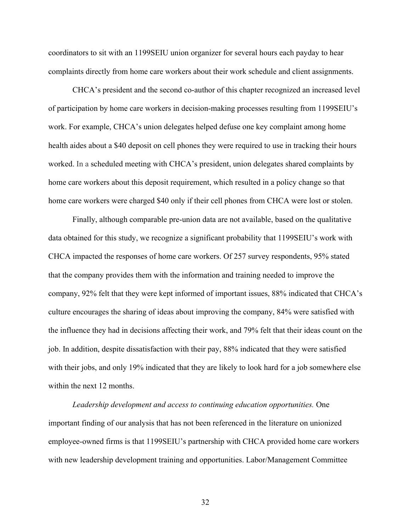coordinators to sit with an 1199SEIU union organizer for several hours each payday to hear complaints directly from home care workers about their work schedule and client assignments.

CHCA's president and the second co-author of this chapter recognized an increased level of participation by home care workers in decision-making processes resulting from 1199SEIU's work. For example, CHCA's union delegates helped defuse one key complaint among home health aides about a \$40 deposit on cell phones they were required to use in tracking their hours worked. In a scheduled meeting with CHCA's president, union delegates shared complaints by home care workers about this deposit requirement, which resulted in a policy change so that home care workers were charged \$40 only if their cell phones from CHCA were lost or stolen.

Finally, although comparable pre-union data are not available, based on the qualitative data obtained for this study, we recognize a significant probability that 1199SEIU's work with CHCA impacted the responses of home care workers. Of 257 survey respondents, 95% stated that the company provides them with the information and training needed to improve the company, 92% felt that they were kept informed of important issues, 88% indicated that CHCA's culture encourages the sharing of ideas about improving the company, 84% were satisfied with the influence they had in decisions affecting their work, and 79% felt that their ideas count on the job. In addition, despite dissatisfaction with their pay, 88% indicated that they were satisfied with their jobs, and only 19% indicated that they are likely to look hard for a job somewhere else within the next 12 months.

*Leadership development and access to continuing education opportunities.* One important finding of our analysis that has not been referenced in the literature on unionized employee-owned firms is that 1199SEIU's partnership with CHCA provided home care workers with new leadership development training and opportunities. Labor/Management Committee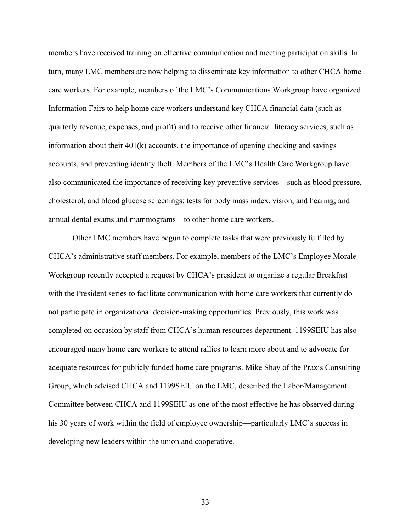members have received training on effective communication and meeting participation skills. In turn, many LMC members are now helping to disseminate key information to other CHCA home care workers. For example, members of the LMC's Communications Workgroup have organized Information Fairs to help home care workers understand key CHCA financial data (such as quarterly revenue, expenses, and profit) and to receive other financial literacy services, such as information about their 401(k) accounts, the importance of opening checking and savings accounts, and preventing identity theft. Members of the LMC's Health Care Workgroup have also communicated the importance of receiving key preventive services—such as blood pressure, cholesterol, and blood glucose screenings; tests for body mass index, vision, and hearing; and annual dental exams and mammograms—to other home care workers.

Other LMC members have begun to complete tasks that were previously fulfilled by CHCA's administrative staff members. For example, members of the LMC's Employee Morale Workgroup recently accepted a request by CHCA's president to organize a regular Breakfast with the President series to facilitate communication with home care workers that currently do not participate in organizational decision-making opportunities. Previously, this work was completed on occasion by staff from CHCA's human resources department. 1199SEIU has also encouraged many home care workers to attend rallies to learn more about and to advocate for adequate resources for publicly funded home care programs. Mike Shay of the Praxis Consulting Group, which advised CHCA and 1199SEIU on the LMC, described the Labor/Management Committee between CHCA and 1199SEIU as one of the most effective he has observed during his 30 years of work within the field of employee ownership—particularly LMC's success in developing new leaders within the union and cooperative.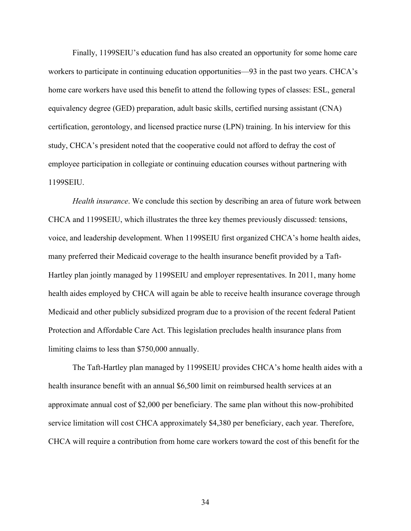Finally, 1199SEIU's education fund has also created an opportunity for some home care workers to participate in continuing education opportunities—93 in the past two years. CHCA's home care workers have used this benefit to attend the following types of classes: ESL, general equivalency degree (GED) preparation, adult basic skills, certified nursing assistant (CNA) certification, gerontology, and licensed practice nurse (LPN) training. In his interview for this study, CHCA's president noted that the cooperative could not afford to defray the cost of employee participation in collegiate or continuing education courses without partnering with 1199SEIU.

*Health insurance*. We conclude this section by describing an area of future work between CHCA and 1199SEIU, which illustrates the three key themes previously discussed: tensions, voice, and leadership development. When 1199SEIU first organized CHCA's home health aides, many preferred their Medicaid coverage to the health insurance benefit provided by a Taft-Hartley plan jointly managed by 1199SEIU and employer representatives. In 2011, many home health aides employed by CHCA will again be able to receive health insurance coverage through Medicaid and other publicly subsidized program due to a provision of the recent federal Patient Protection and Affordable Care Act. This legislation precludes health insurance plans from limiting claims to less than \$750,000 annually.

The Taft-Hartley plan managed by 1199SEIU provides CHCA's home health aides with a health insurance benefit with an annual \$6,500 limit on reimbursed health services at an approximate annual cost of \$2,000 per beneficiary. The same plan without this now-prohibited service limitation will cost CHCA approximately \$4,380 per beneficiary, each year. Therefore, CHCA will require a contribution from home care workers toward the cost of this benefit for the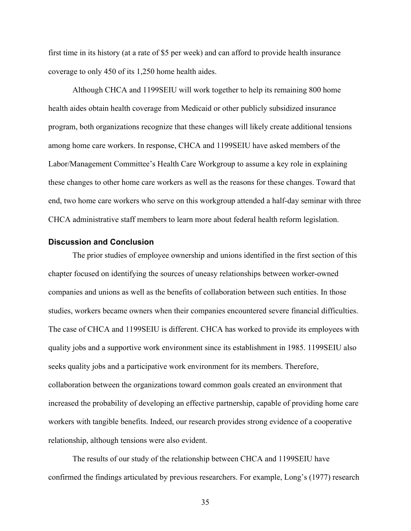first time in its history (at a rate of \$5 per week) and can afford to provide health insurance coverage to only 450 of its 1,250 home health aides.

Although CHCA and 1199SEIU will work together to help its remaining 800 home health aides obtain health coverage from Medicaid or other publicly subsidized insurance program, both organizations recognize that these changes will likely create additional tensions among home care workers. In response, CHCA and 1199SEIU have asked members of the Labor/Management Committee's Health Care Workgroup to assume a key role in explaining these changes to other home care workers as well as the reasons for these changes. Toward that end, two home care workers who serve on this workgroup attended a half-day seminar with three CHCA administrative staff members to learn more about federal health reform legislation.

### **Discussion and Conclusion**

The prior studies of employee ownership and unions identified in the first section of this chapter focused on identifying the sources of uneasy relationships between worker-owned companies and unions as well as the benefits of collaboration between such entities. In those studies, workers became owners when their companies encountered severe financial difficulties. The case of CHCA and 1199SEIU is different. CHCA has worked to provide its employees with quality jobs and a supportive work environment since its establishment in 1985. 1199SEIU also seeks quality jobs and a participative work environment for its members. Therefore, collaboration between the organizations toward common goals created an environment that increased the probability of developing an effective partnership, capable of providing home care workers with tangible benefits. Indeed, our research provides strong evidence of a cooperative relationship, although tensions were also evident.

The results of our study of the relationship between CHCA and 1199SEIU have confirmed the findings articulated by previous researchers. For example, Long's (1977) research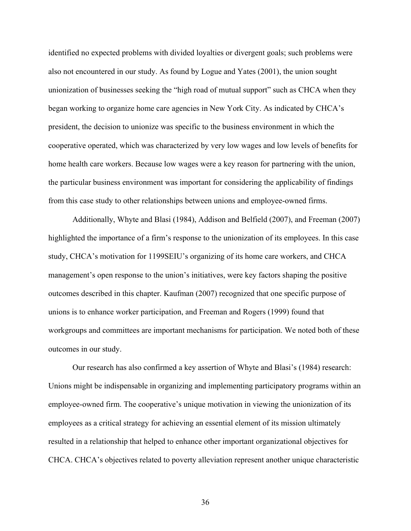identified no expected problems with divided loyalties or divergent goals; such problems were also not encountered in our study. As found by Logue and Yates (2001), the union sought unionization of businesses seeking the "high road of mutual support" such as CHCA when they began working to organize home care agencies in New York City. As indicated by CHCA's president, the decision to unionize was specific to the business environment in which the cooperative operated, which was characterized by very low wages and low levels of benefits for home health care workers. Because low wages were a key reason for partnering with the union, the particular business environment was important for considering the applicability of findings from this case study to other relationships between unions and employee-owned firms.

Additionally, Whyte and Blasi (1984), Addison and Belfield (2007), and Freeman (2007) highlighted the importance of a firm's response to the unionization of its employees. In this case study, CHCA's motivation for 1199SEIU's organizing of its home care workers, and CHCA management's open response to the union's initiatives, were key factors shaping the positive outcomes described in this chapter. Kaufman (2007) recognized that one specific purpose of unions is to enhance worker participation, and Freeman and Rogers (1999) found that workgroups and committees are important mechanisms for participation. We noted both of these outcomes in our study.

Our research has also confirmed a key assertion of Whyte and Blasi's (1984) research: Unions might be indispensable in organizing and implementing participatory programs within an employee-owned firm. The cooperative's unique motivation in viewing the unionization of its employees as a critical strategy for achieving an essential element of its mission ultimately resulted in a relationship that helped to enhance other important organizational objectives for CHCA. CHCA's objectives related to poverty alleviation represent another unique characteristic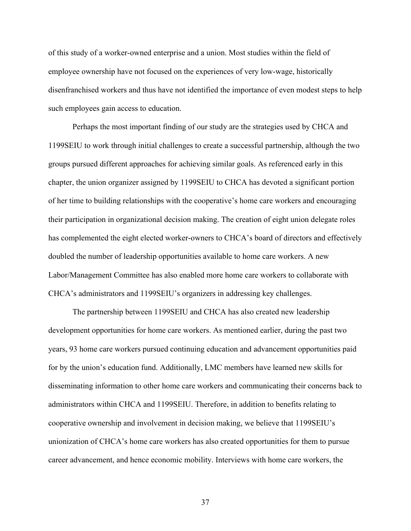of this study of a worker-owned enterprise and a union. Most studies within the field of employee ownership have not focused on the experiences of very low-wage, historically disenfranchised workers and thus have not identified the importance of even modest steps to help such employees gain access to education.

Perhaps the most important finding of our study are the strategies used by CHCA and 1199SEIU to work through initial challenges to create a successful partnership, although the two groups pursued different approaches for achieving similar goals. As referenced early in this chapter, the union organizer assigned by 1199SEIU to CHCA has devoted a significant portion of her time to building relationships with the cooperative's home care workers and encouraging their participation in organizational decision making. The creation of eight union delegate roles has complemented the eight elected worker-owners to CHCA's board of directors and effectively doubled the number of leadership opportunities available to home care workers. A new Labor/Management Committee has also enabled more home care workers to collaborate with CHCA's administrators and 1199SEIU's organizers in addressing key challenges.

The partnership between 1199SEIU and CHCA has also created new leadership development opportunities for home care workers. As mentioned earlier, during the past two years, 93 home care workers pursued continuing education and advancement opportunities paid for by the union's education fund. Additionally, LMC members have learned new skills for disseminating information to other home care workers and communicating their concerns back to administrators within CHCA and 1199SEIU. Therefore, in addition to benefits relating to cooperative ownership and involvement in decision making, we believe that 1199SEIU's unionization of CHCA's home care workers has also created opportunities for them to pursue career advancement, and hence economic mobility. Interviews with home care workers, the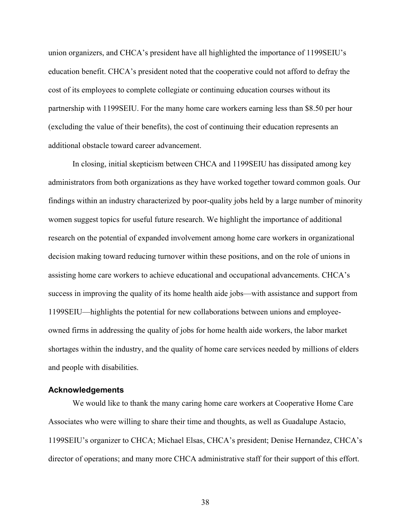union organizers, and CHCA's president have all highlighted the importance of 1199SEIU's education benefit. CHCA's president noted that the cooperative could not afford to defray the cost of its employees to complete collegiate or continuing education courses without its partnership with 1199SEIU. For the many home care workers earning less than \$8.50 per hour (excluding the value of their benefits), the cost of continuing their education represents an additional obstacle toward career advancement.

In closing, initial skepticism between CHCA and 1199SEIU has dissipated among key administrators from both organizations as they have worked together toward common goals. Our findings within an industry characterized by poor-quality jobs held by a large number of minority women suggest topics for useful future research. We highlight the importance of additional research on the potential of expanded involvement among home care workers in organizational decision making toward reducing turnover within these positions, and on the role of unions in assisting home care workers to achieve educational and occupational advancements. CHCA's success in improving the quality of its home health aide jobs—with assistance and support from 1199SEIU—highlights the potential for new collaborations between unions and employeeowned firms in addressing the quality of jobs for home health aide workers, the labor market shortages within the industry, and the quality of home care services needed by millions of elders and people with disabilities.

### **Acknowledgements**

We would like to thank the many caring home care workers at Cooperative Home Care Associates who were willing to share their time and thoughts, as well as Guadalupe Astacio, 1199SEIU's organizer to CHCA; Michael Elsas, CHCA's president; Denise Hernandez, CHCA's director of operations; and many more CHCA administrative staff for their support of this effort.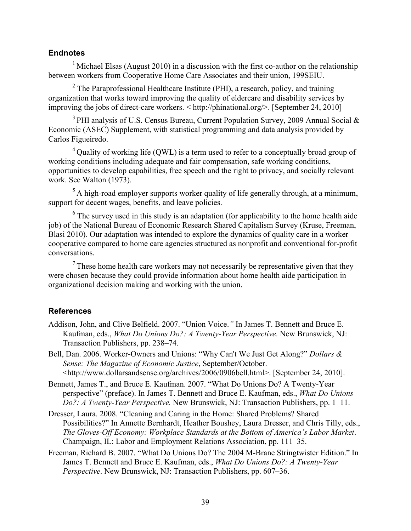## **Endnotes**

<sup>1</sup> Michael Elsas (August 2010) in a discussion with the first co-author on the relationship between workers from Cooperative Home Care Associates and their union, 199SEIU.

 $2$  The Paraprofessional Healthcare Institute (PHI), a research, policy, and training organization that works toward improving the quality of eldercare and disability services by improving the jobs of direct-care workers. < http://phinational.org/>. [September 24, 2010]

 $3$  PHI analysis of U.S. Census Bureau, Current Population Survey, 2009 Annual Social  $\&$ Economic (ASEC) Supplement, with statistical programming and data analysis provided by Carlos Figueiredo.

 $^{4}$ Ouality of working life (OWL) is a term used to refer to a conceptually broad group of working conditions including adequate and fair compensation, safe working conditions, opportunities to develop capabilities, free speech and the right to privacy, and socially relevant work. See Walton (1973).

 $<sup>5</sup>$  A high-road employer supports worker quality of life generally through, at a minimum,</sup> support for decent wages, benefits, and leave policies.

 $6$  The survey used in this study is an adaptation (for applicability to the home health aide job) of the National Bureau of Economic Research Shared Capitalism Survey (Kruse, Freeman, Blasi 2010). Our adaptation was intended to explore the dynamics of quality care in a worker cooperative compared to home care agencies structured as nonprofit and conventional for-profit conversations.

 $<sup>7</sup>$  These home health care workers may not necessarily be representative given that they</sup> were chosen because they could provide information about home health aide participation in organizational decision making and working with the union.

# **References**

- Addison, John, and Clive Belfield. 2007. "Union Voice.*"* In James T. Bennett and Bruce E. Kaufman, eds., *What Do Unions Do?: A Twenty-Year Perspective*. New Brunswick, NJ: Transaction Publishers, pp. 238–74.
- Bell, Dan. 2006. Worker-Owners and Unions: "Why Can't We Just Get Along?" *Dollars & Sense: The Magazine of Economic Justice*, September/October. <http://www.dollarsandsense.org/archives/2006/0906bell.html>. [September 24, 2010].
- Bennett, James T., and Bruce E. Kaufman. 2007. "What Do Unions Do? A Twenty-Year perspective" (preface). In James T. Bennett and Bruce E. Kaufman, eds., *What Do Unions Do?: A Twenty-Year Perspective.* New Brunswick, NJ: Transaction Publishers, pp. 1–11.
- Dresser, Laura. 2008. "Cleaning and Caring in the Home: Shared Problems? Shared Possibilities?" In Annette Bernhardt, Heather Boushey, Laura Dresser, and Chris Tilly, eds., *The Gloves-Off Economy: Workplace Standards at the Bottom of America's Labor Market*. Champaign, IL: Labor and Employment Relations Association, pp. 111–35.
- Freeman, Richard B. 2007. "What Do Unions Do? The 2004 M-Brane Stringtwister Edition." In James T. Bennett and Bruce E. Kaufman, eds., *What Do Unions Do?: A Twenty-Year Perspective*. New Brunswick, NJ: Transaction Publishers, pp. 607–36.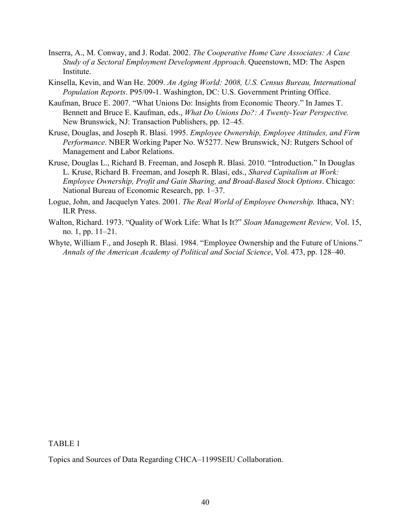- Inserra, A., M. Conway, and J. Rodat. 2002. *The Cooperative Home Care Associates: A Case Study of a Sectoral Employment Development Approach*. Queenstown, MD: The Aspen **Institute**
- Kinsella, Kevin, and Wan He. 2009. *An Aging World: 2008, U.S. Census Bureau, International Population Reports*. P95/09-1. Washington, DC: U.S. Government Printing Office.
- Kaufman, Bruce E. 2007. "What Unions Do: Insights from Economic Theory." In James T. Bennett and Bruce E. Kaufman, eds., *What Do Unions Do?: A Twenty-Year Perspective.*  New Brunswick, NJ: Transaction Publishers, pp. 12–45.
- Kruse, Douglas, and Joseph R. Blasi. 1995. *Employee Ownership, Employee Attitudes, and Firm Performance*. NBER Working Paper No. W5277. New Brunswick, NJ: Rutgers School of Management and Labor Relations.
- Kruse, Douglas L., Richard B. Freeman, and Joseph R. Blasi. 2010. "Introduction." In Douglas L. Kruse, Richard B. Freeman, and Joseph R. Blasi, eds., *Shared Capitalism at Work: Employee Ownership, Profit and Gain Sharing, and Broad-Based Stock Options*. Chicago: National Bureau of Economic Research, pp. 1–37.
- Logue, John, and Jacquelyn Yates. 2001. *The Real World of Employee Ownership.* Ithaca, NY: ILR Press.
- Walton, Richard. 1973. "Quality of Work Life: What Is It?" *Sloan Management Review,* Vol. 15, no. 1, pp. 11–21.
- Whyte, William F., and Joseph R. Blasi. 1984. "Employee Ownership and the Future of Unions." *Annals of the American Academy of Political and Social Science*, Vol. 473, pp. 128–40.

TABLE 1

Topics and Sources of Data Regarding CHCA–1199SEIU Collaboration.